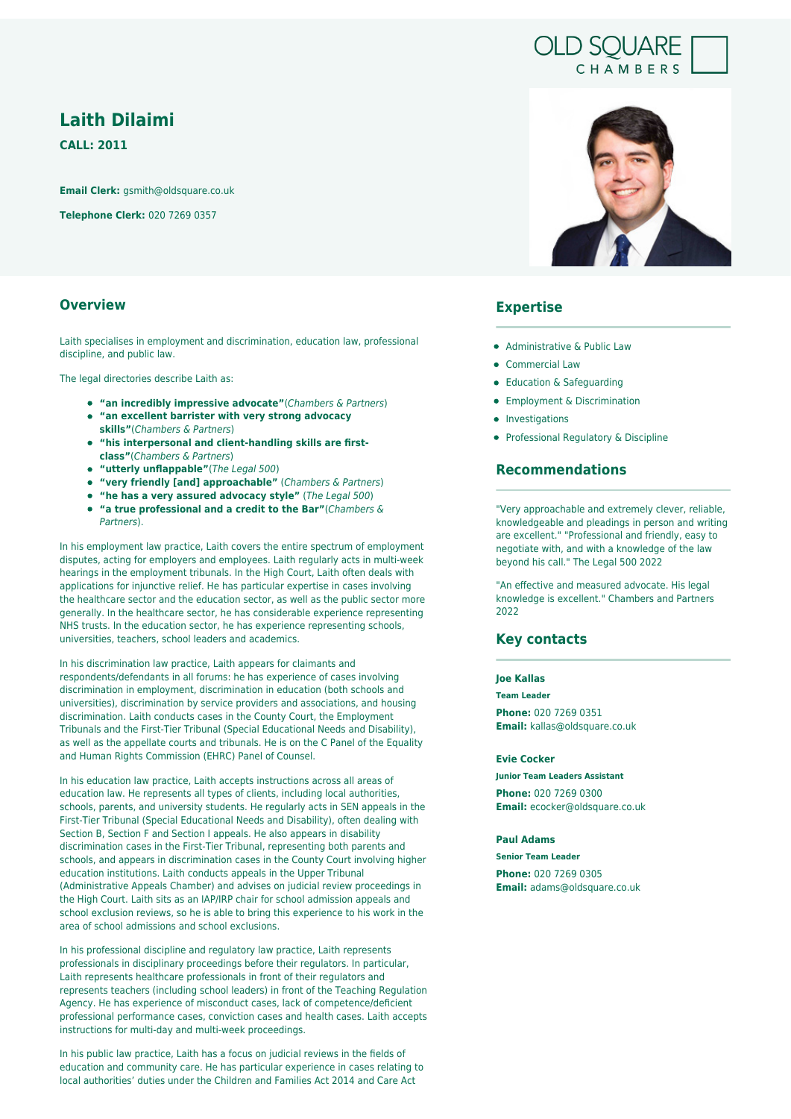# **Laith Dilaimi**

**CALL: 2011**

**Email Clerk:** gsmith@oldsquare.co.uk

**Telephone Clerk:** 020 7269 0357

## **Overview**

Laith specialises in employment and discrimination, education law, professional discipline, and public law.

The legal directories describe Laith as:

- **"an incredibly impressive advocate"**(Chambers & Partners)
- **"an excellent barrister with very strong advocacy skills"**(Chambers & Partners)
- **"his interpersonal and client-handling skills are firstclass"**(Chambers & Partners)
- **"utterly unflappable"**(The Legal 500)
- **"very friendly [and] approachable"** (Chambers & Partners)
- **"he has a very assured advocacy style"** (The Legal 500)
- **"a true professional and a credit to the Bar"**(Chambers & Partners).

In his employment law practice, Laith covers the entire spectrum of employment disputes, acting for employers and employees. Laith regularly acts in multi-week hearings in the employment tribunals. In the High Court, Laith often deals with applications for injunctive relief. He has particular expertise in cases involving the healthcare sector and the education sector, as well as the public sector more generally. In the healthcare sector, he has considerable experience representing NHS trusts. In the education sector, he has experience representing schools, universities, teachers, school leaders and academics.

In his discrimination law practice, Laith appears for claimants and respondents/defendants in all forums: he has experience of cases involving discrimination in employment, discrimination in education (both schools and universities), discrimination by service providers and associations, and housing discrimination. Laith conducts cases in the County Court, the Employment Tribunals and the First-Tier Tribunal (Special Educational Needs and Disability), as well as the appellate courts and tribunals. He is on the C Panel of the Equality and Human Rights Commission (EHRC) Panel of Counsel.

In his education law practice, Laith accepts instructions across all areas of education law. He represents all types of clients, including local authorities, schools, parents, and university students. He regularly acts in SEN appeals in the First-Tier Tribunal (Special Educational Needs and Disability), often dealing with Section B, Section F and Section I appeals. He also appears in disability discrimination cases in the First-Tier Tribunal, representing both parents and schools, and appears in discrimination cases in the County Court involving higher education institutions. Laith conducts appeals in the Upper Tribunal (Administrative Appeals Chamber) and advises on judicial review proceedings in the High Court. Laith sits as an IAP/IRP chair for school admission appeals and school exclusion reviews, so he is able to bring this experience to his work in the area of school admissions and school exclusions.

In his professional discipline and regulatory law practice, Laith represents professionals in disciplinary proceedings before their regulators. In particular, Laith represents healthcare professionals in front of their regulators and represents teachers (including school leaders) in front of the Teaching Regulation Agency. He has experience of misconduct cases, lack of competence/deficient professional performance cases, conviction cases and health cases. Laith accepts instructions for multi-day and multi-week proceedings.

In his public law practice, Laith has a focus on judicial reviews in the fields of education and community care. He has particular experience in cases relating to local authorities' duties under the Children and Families Act 2014 and Care Act



**OLD SOUARE** 

CHAMBERS

### **Expertise**

- Administrative & Public Law
- Commercial Law
- Education & Safeguarding
- **•** Employment & Discrimination
- **•** Investigations
- Professional Regulatory & Discipline

### **Recommendations**

"Very approachable and extremely clever, reliable, knowledgeable and pleadings in person and writing are excellent." "Professional and friendly, easy to negotiate with, and with a knowledge of the law beyond his call." The Legal 500 2022

"An effective and measured advocate. His legal knowledge is excellent." Chambers and Partners 2022

### **Key contacts**

**Joe Kallas**

**Team Leader Phone:** 020 7269 0351 **Email:** kallas@oldsquare.co.uk

**Evie Cocker**

**Junior Team Leaders Assistant Phone:** 020 7269 0300 **Email:** ecocker@oldsquare.co.uk

#### **Paul Adams**

**Senior Team Leader Phone:** 020 7269 0305

**Email:** adams@oldsquare.co.uk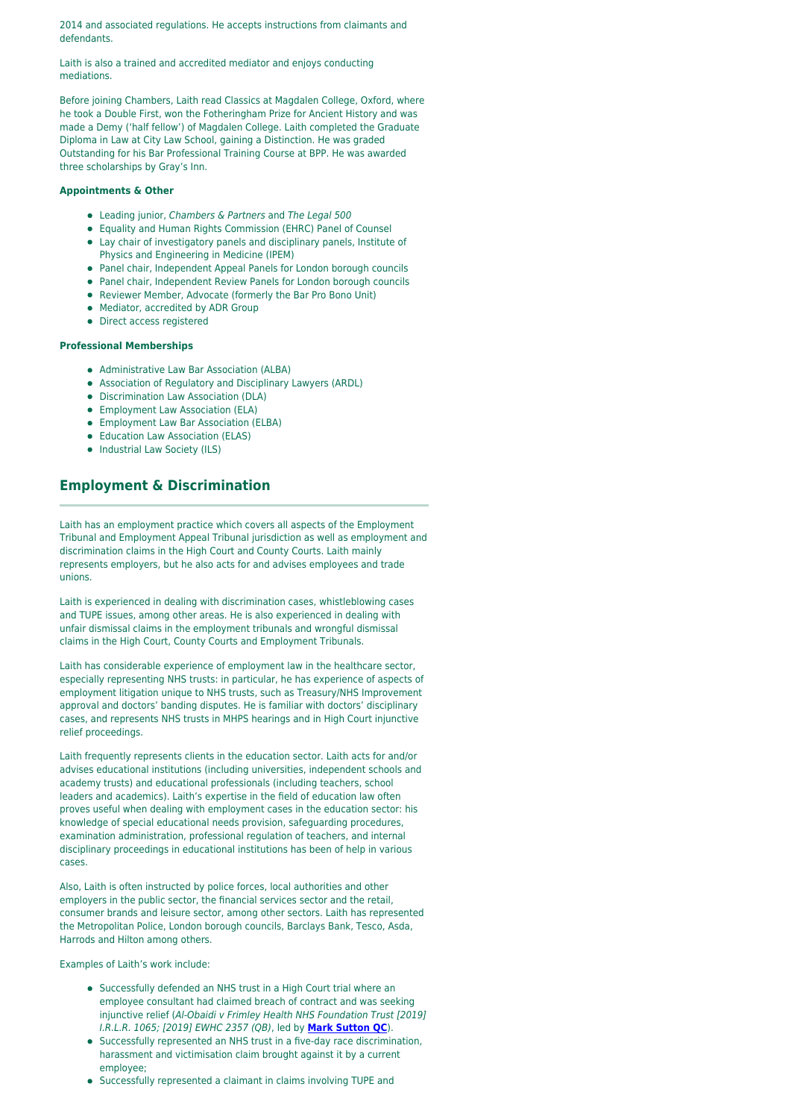2014 and associated regulations. He accepts instructions from claimants and defendants.

Laith is also a trained and accredited mediator and enjoys conducting mediations.

Before joining Chambers, Laith read Classics at Magdalen College, Oxford, where he took a Double First, won the Fotheringham Prize for Ancient History and was made a Demy ('half fellow') of Magdalen College. Laith completed the Graduate Diploma in Law at City Law School, gaining a Distinction. He was graded Outstanding for his Bar Professional Training Course at BPP. He was awarded three scholarships by Gray's Inn.

#### **Appointments & Other**

- Leading junior, Chambers & Partners and The Legal 500
- Equality and Human Rights Commission (EHRC) Panel of Counsel
- Lay chair of investigatory panels and disciplinary panels, Institute of Physics and Engineering in Medicine (IPEM)
- Panel chair, Independent Appeal Panels for London borough councils
- Panel chair, Independent Review Panels for London borough councils
- Reviewer Member, Advocate (formerly the Bar Pro Bono Unit)
- Mediator, accredited by ADR Group
- Direct access registered

#### **Professional Memberships**

- Administrative Law Bar Association (ALBA)
- Association of Regulatory and Disciplinary Lawyers (ARDL)
- Discrimination Law Association (DLA)
- **•** Employment Law Association (ELA)
- Employment Law Bar Association (ELBA)
- Education Law Association (ELAS)
- Industrial Law Society (ILS)

# **Employment & Discrimination**

Laith has an employment practice which covers all aspects of the Employment Tribunal and Employment Appeal Tribunal jurisdiction as well as employment and discrimination claims in the High Court and County Courts. Laith mainly represents employers, but he also acts for and advises employees and trade unions.

Laith is experienced in dealing with discrimination cases, whistleblowing cases and TUPE issues, among other areas. He is also experienced in dealing with unfair dismissal claims in the employment tribunals and wrongful dismissal claims in the High Court, County Courts and Employment Tribunals.

Laith has considerable experience of employment law in the healthcare sector, especially representing NHS trusts: in particular, he has experience of aspects of employment litigation unique to NHS trusts, such as Treasury/NHS Improvement approval and doctors' banding disputes. He is familiar with doctors' disciplinary cases, and represents NHS trusts in MHPS hearings and in High Court injunctive relief proceedings.

Laith frequently represents clients in the education sector. Laith acts for and/or advises educational institutions (including universities, independent schools and academy trusts) and educational professionals (including teachers, school leaders and academics). Laith's expertise in the field of education law often proves useful when dealing with employment cases in the education sector: his knowledge of special educational needs provision, safeguarding procedures, examination administration, professional regulation of teachers, and internal disciplinary proceedings in educational institutions has been of help in various cases.

Also, Laith is often instructed by police forces, local authorities and other employers in the public sector, the financial services sector and the retail, consumer brands and leisure sector, among other sectors. Laith has represented the Metropolitan Police, London borough councils, Barclays Bank, Tesco, Asda, Harrods and Hilton among others.

Examples of Laith's work include:

- Successfully defended an NHS trust in a High Court trial where an employee consultant had claimed breach of contract and was seeking injunctive relief (Al-Obaidi v Frimley Health NHS Foundation Trust [2019] I.R.L.R. 1065; [2019] EWHC 2357 (QB), led by **[Mark Sutton QC](https://oldsquare.co.uk/people/mark-sutton-qc/)**).
- Successfully represented an NHS trust in a five-day race discrimination, harassment and victimisation claim brought against it by a current employee;
- Successfully represented a claimant in claims involving TUPE and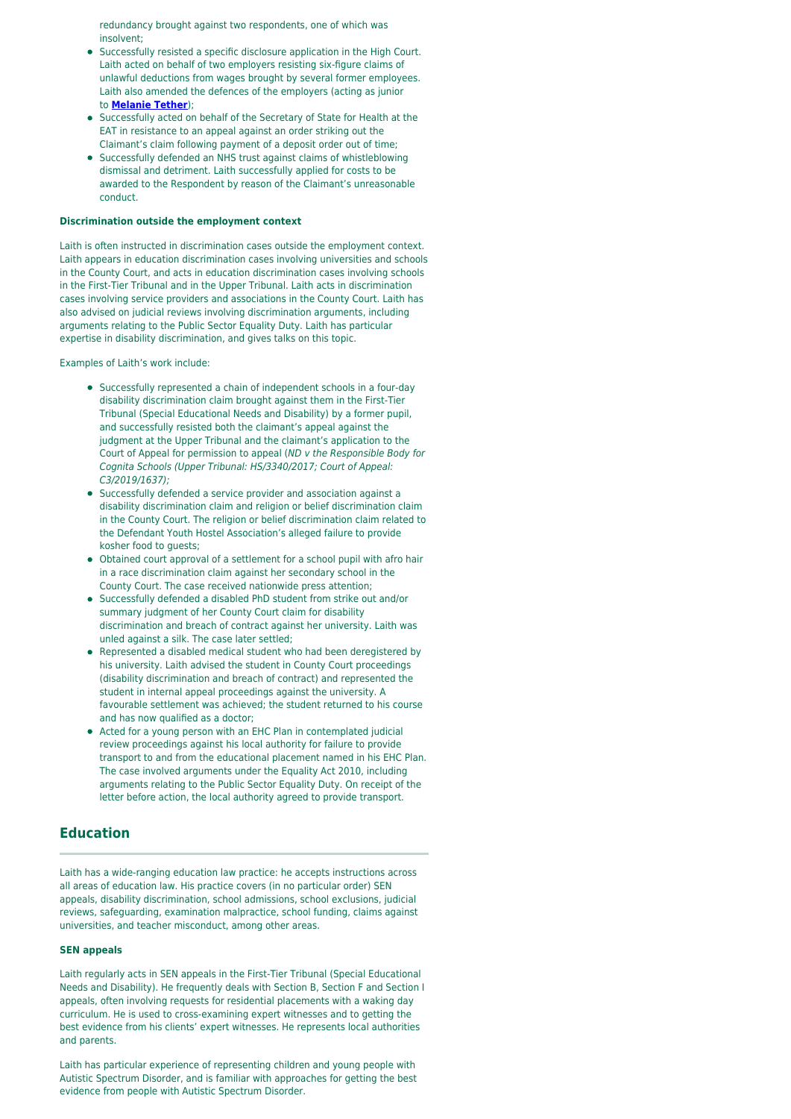redundancy brought against two respondents, one of which was insolvent;

- Successfully resisted a specific disclosure application in the High Court. Laith acted on behalf of two employers resisting six-figure claims of unlawful deductions from wages brought by several former employees. Laith also amended the defences of the employers (acting as junior to **[Melanie Tether](https://oldsquare.co.uk/people/melanie-tether/)**);
- Successfully acted on behalf of the Secretary of State for Health at the EAT in resistance to an appeal against an order striking out the Claimant's claim following payment of a deposit order out of time;
- Successfully defended an NHS trust against claims of whistleblowing dismissal and detriment. Laith successfully applied for costs to be awarded to the Respondent by reason of the Claimant's unreasonable conduct.

#### **Discrimination outside the employment context**

Laith is often instructed in discrimination cases outside the employment context. Laith appears in education discrimination cases involving universities and schools in the County Court, and acts in education discrimination cases involving schools in the First-Tier Tribunal and in the Upper Tribunal. Laith acts in discrimination cases involving service providers and associations in the County Court. Laith has also advised on judicial reviews involving discrimination arguments, including arguments relating to the Public Sector Equality Duty. Laith has particular expertise in disability discrimination, and gives talks on this topic.

Examples of Laith's work include:

- Successfully represented a chain of independent schools in a four-day disability discrimination claim brought against them in the First-Tier Tribunal (Special Educational Needs and Disability) by a former pupil, and successfully resisted both the claimant's appeal against the judgment at the Upper Tribunal and the claimant's application to the Court of Appeal for permission to appeal (ND v the Responsible Body for Cognita Schools (Upper Tribunal: HS/3340/2017; Court of Appeal: C3/2019/1637);
- Successfully defended a service provider and association against a disability discrimination claim and religion or belief discrimination claim in the County Court. The religion or belief discrimination claim related to the Defendant Youth Hostel Association's alleged failure to provide kosher food to guests;
- Obtained court approval of a settlement for a school pupil with afro hair in a race discrimination claim against her secondary school in the County Court. The case received nationwide press attention;
- $\bullet$ Successfully defended a disabled PhD student from strike out and/or summary judgment of her County Court claim for disability discrimination and breach of contract against her university. Laith was unled against a silk. The case later settled;
- Represented a disabled medical student who had been deregistered by his university. Laith advised the student in County Court proceedings (disability discrimination and breach of contract) and represented the student in internal appeal proceedings against the university. A favourable settlement was achieved; the student returned to his course and has now qualified as a doctor;
- Acted for a young person with an EHC Plan in contemplated judicial review proceedings against his local authority for failure to provide transport to and from the educational placement named in his EHC Plan. The case involved arguments under the Equality Act 2010, including arguments relating to the Public Sector Equality Duty. On receipt of the letter before action, the local authority agreed to provide transport.

### **Education**

Laith has a wide-ranging education law practice: he accepts instructions across all areas of education law. His practice covers (in no particular order) SEN appeals, disability discrimination, school admissions, school exclusions, judicial reviews, safeguarding, examination malpractice, school funding, claims against universities, and teacher misconduct, among other areas.

#### **SEN appeals**

Laith regularly acts in SEN appeals in the First-Tier Tribunal (Special Educational Needs and Disability). He frequently deals with Section B, Section F and Section I appeals, often involving requests for residential placements with a waking day curriculum. He is used to cross-examining expert witnesses and to getting the best evidence from his clients' expert witnesses. He represents local authorities and parents.

Laith has particular experience of representing children and young people with Autistic Spectrum Disorder, and is familiar with approaches for getting the best evidence from people with Autistic Spectrum Disorder.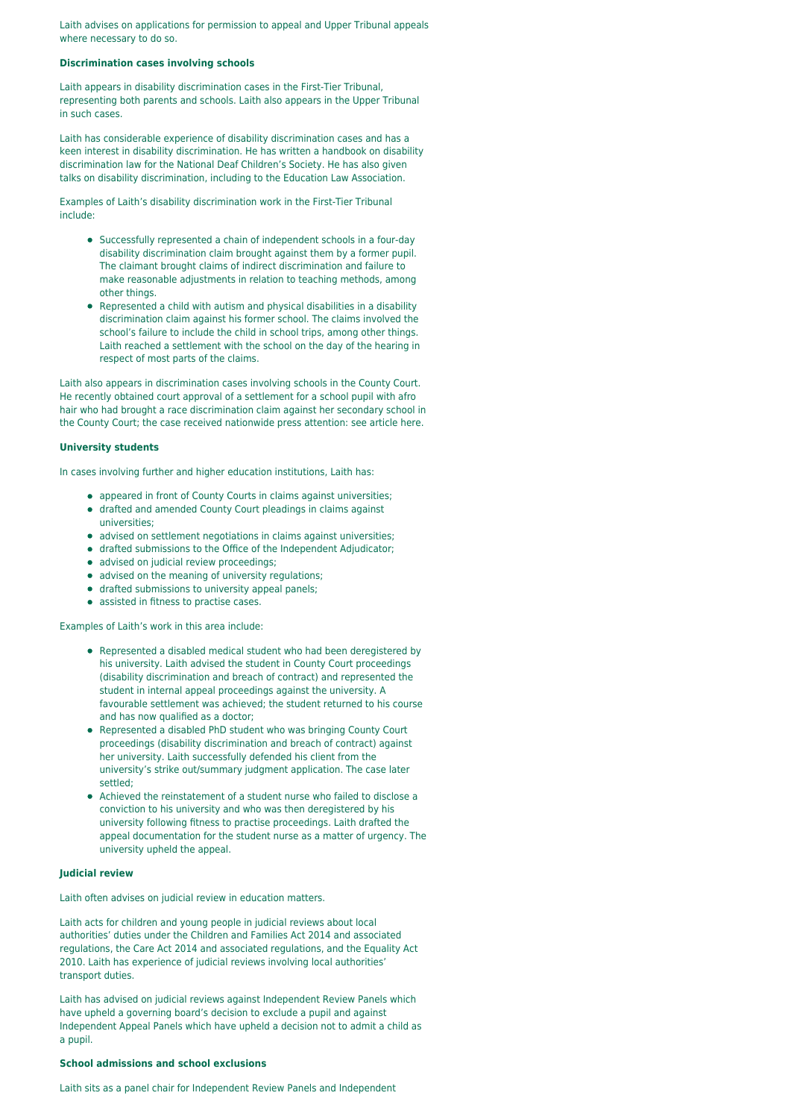Laith advises on applications for permission to appeal and Upper Tribunal appeals where necessary to do so.

#### **Discrimination cases involving schools**

Laith appears in disability discrimination cases in the First-Tier Tribunal, representing both parents and schools. Laith also appears in the Upper Tribunal in such cases.

Laith has considerable experience of disability discrimination cases and has a keen interest in disability discrimination. He has written a handbook on disability discrimination law for the National Deaf Children's Society. He has also given talks on disability discrimination, including to the Education Law Association.

Examples of Laith's disability discrimination work in the First-Tier Tribunal include:

- Successfully represented a chain of independent schools in a four-day disability discrimination claim brought against them by a former pupil. The claimant brought claims of indirect discrimination and failure to make reasonable adjustments in relation to teaching methods, among other things.
- Represented a child with autism and physical disabilities in a disability discrimination claim against his former school. The claims involved the school's failure to include the child in school trips, among other things. Laith reached a settlement with the school on the day of the hearing in respect of most parts of the claims.

Laith also appears in discrimination cases involving schools in the County Court. He recently obtained court approval of a settlement for a school pupil with afro hair who had brought a race discrimination claim against her secondary school in the County Court; the case received nationwide press attention: see article here.

#### **University students**

In cases involving further and higher education institutions, Laith has:

- appeared in front of County Courts in claims against universities;
- drafted and amended County Court pleadings in claims against universities;
- advised on settlement negotiations in claims against universities;
- drafted submissions to the Office of the Independent Adjudicator;
- advised on judicial review proceedings;
- advised on the meaning of university regulations;
- drafted submissions to university appeal panels;
- assisted in fitness to practise cases.

Examples of Laith's work in this area include:

- Represented a disabled medical student who had been deregistered by his university. Laith advised the student in County Court proceedings (disability discrimination and breach of contract) and represented the student in internal appeal proceedings against the university. A favourable settlement was achieved; the student returned to his course and has now qualified as a doctor;
- Represented a disabled PhD student who was bringing County Court proceedings (disability discrimination and breach of contract) against her university. Laith successfully defended his client from the university's strike out/summary judgment application. The case later settled;
- Achieved the reinstatement of a student nurse who failed to disclose a conviction to his university and who was then deregistered by his university following fitness to practise proceedings. Laith drafted the appeal documentation for the student nurse as a matter of urgency. The university upheld the appeal.

#### **Judicial review**

Laith often advises on judicial review in education matters.

Laith acts for children and young people in judicial reviews about local authorities' duties under the Children and Families Act 2014 and associated regulations, the Care Act 2014 and associated regulations, and the Equality Act 2010. Laith has experience of judicial reviews involving local authorities' transport duties.

Laith has advised on judicial reviews against Independent Review Panels which have upheld a governing board's decision to exclude a pupil and against Independent Appeal Panels which have upheld a decision not to admit a child as a pupil.

#### **School admissions and school exclusions**

Laith sits as a panel chair for Independent Review Panels and Independent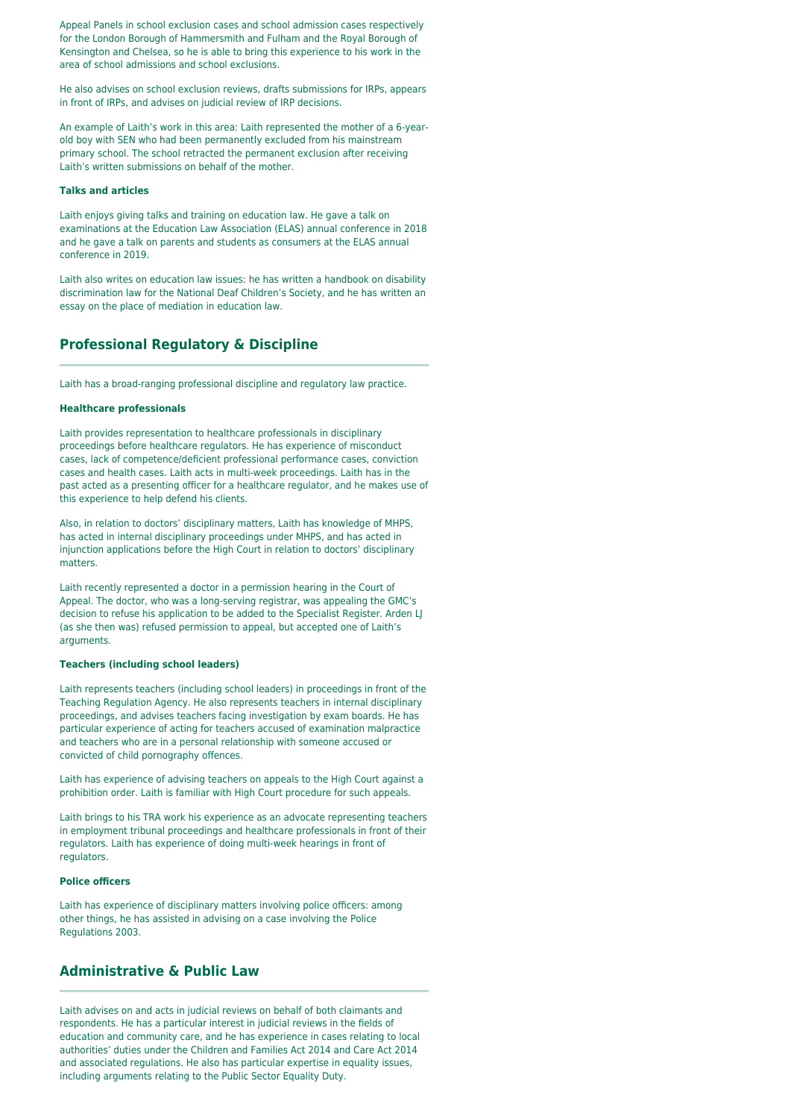Appeal Panels in school exclusion cases and school admission cases respectively for the London Borough of Hammersmith and Fulham and the Royal Borough of Kensington and Chelsea, so he is able to bring this experience to his work in the area of school admissions and school exclusions.

He also advises on school exclusion reviews, drafts submissions for IRPs, appears in front of IRPs, and advises on judicial review of IRP decisions.

An example of Laith's work in this area: Laith represented the mother of a 6-yearold boy with SEN who had been permanently excluded from his mainstream primary school. The school retracted the permanent exclusion after receiving Laith's written submissions on behalf of the mother.

#### **Talks and articles**

Laith enjoys giving talks and training on education law. He gave a talk on examinations at the Education Law Association (ELAS) annual conference in 2018 and he gave a talk on parents and students as consumers at the ELAS annual conference in 2019.

Laith also writes on education law issues: he has written a handbook on disability discrimination law for the National Deaf Children's Society, and he has written an essay on the place of mediation in education law.

### **Professional Regulatory & Discipline**

Laith has a broad-ranging professional discipline and regulatory law practice.

#### **Healthcare professionals**

Laith provides representation to healthcare professionals in disciplinary proceedings before healthcare regulators. He has experience of misconduct cases, lack of competence/deficient professional performance cases, conviction cases and health cases. Laith acts in multi-week proceedings. Laith has in the past acted as a presenting officer for a healthcare regulator, and he makes use of this experience to help defend his clients.

Also, in relation to doctors' disciplinary matters, Laith has knowledge of MHPS, has acted in internal disciplinary proceedings under MHPS, and has acted in injunction applications before the High Court in relation to doctors' disciplinary matters.

Laith recently represented a doctor in a permission hearing in the Court of Appeal. The doctor, who was a long-serving registrar, was appealing the GMC's decision to refuse his application to be added to the Specialist Register. Arden LJ (as she then was) refused permission to appeal, but accepted one of Laith's arguments.

#### **Teachers (including school leaders)**

Laith represents teachers (including school leaders) in proceedings in front of the Teaching Regulation Agency. He also represents teachers in internal disciplinary proceedings, and advises teachers facing investigation by exam boards. He has particular experience of acting for teachers accused of examination malpractice and teachers who are in a personal relationship with someone accused or convicted of child pornography offences.

Laith has experience of advising teachers on appeals to the High Court against a prohibition order. Laith is familiar with High Court procedure for such appeals.

Laith brings to his TRA work his experience as an advocate representing teachers in employment tribunal proceedings and healthcare professionals in front of their regulators. Laith has experience of doing multi-week hearings in front of regulators.

#### **Police officers**

Laith has experience of disciplinary matters involving police officers: among other things, he has assisted in advising on a case involving the Police Regulations 2003.

### **Administrative & Public Law**

Laith advises on and acts in judicial reviews on behalf of both claimants and respondents. He has a particular interest in judicial reviews in the fields of education and community care, and he has experience in cases relating to local authorities' duties under the Children and Families Act 2014 and Care Act 2014 and associated regulations. He also has particular expertise in equality issues, including arguments relating to the Public Sector Equality Duty.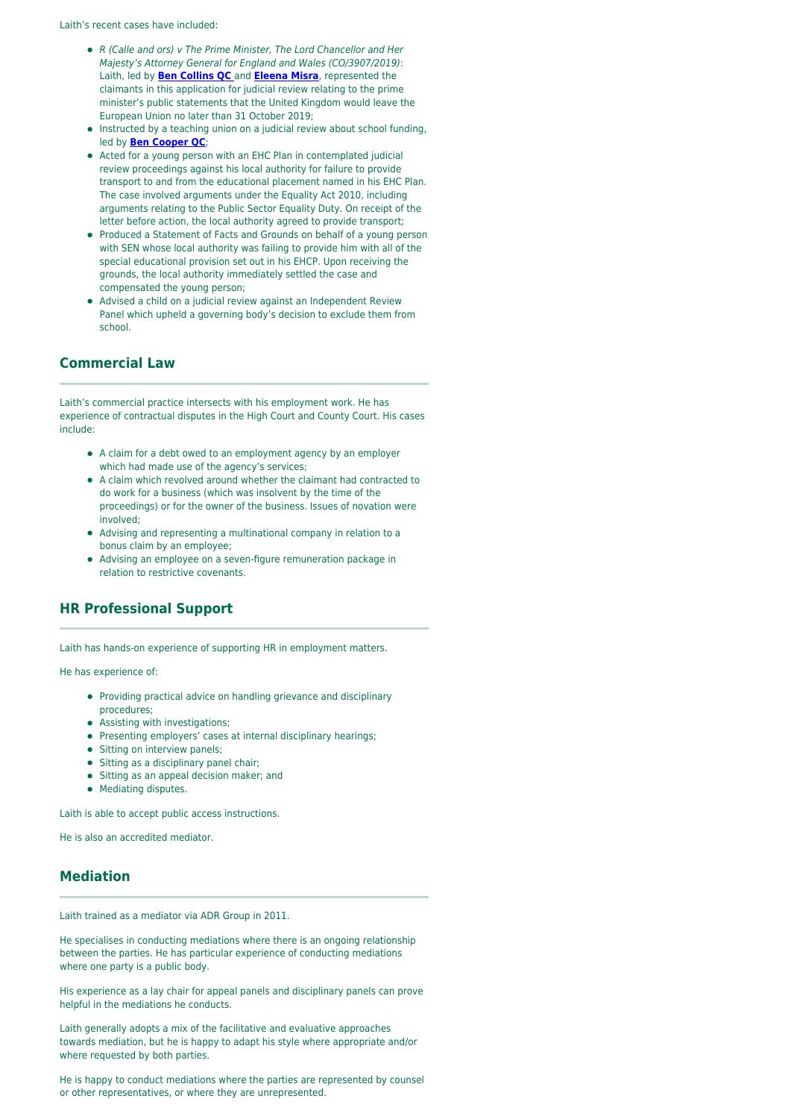Laith's recent cases have included:

- R (Calle and ors) v The Prime Minister, The Lord Chancellor and Her Majesty's Attorney General for England and Wales (CO/3907/2019): Laith, led by **[Ben Collins QC](https://oldsquare.co.uk/people/ben-collins-qc/)** and **[Eleena Misra](https://oldsquare.co.uk/people/eleena-misra/)**, represented the claimants in this application for judicial review relating to the prime minister's public statements that the United Kingdom would leave the European Union no later than 31 October 2019;
- Instructed by a teaching union on a judicial review about school funding, led by **[Ben Cooper QC](https://oldsquare.co.uk/people/ben-cooper-qc/)**;
- Acted for a young person with an EHC Plan in contemplated judicial review proceedings against his local authority for failure to provide transport to and from the educational placement named in his EHC Plan. The case involved arguments under the Equality Act 2010, including arguments relating to the Public Sector Equality Duty. On receipt of the letter before action, the local authority agreed to provide transport;
- Produced a Statement of Facts and Grounds on behalf of a young person with SEN whose local authority was failing to provide him with all of the special educational provision set out in his EHCP. Upon receiving the grounds, the local authority immediately settled the case and compensated the young person;
- Advised a child on a judicial review against an Independent Review Panel which upheld a governing body's decision to exclude them from school.

### **Commercial Law**

Laith's commercial practice intersects with his employment work. He has experience of contractual disputes in the High Court and County Court. His cases include:

- A claim for a debt owed to an employment agency by an employer which had made use of the agency's services;
- A claim which revolved around whether the claimant had contracted to do work for a business (which was insolvent by the time of the proceedings) or for the owner of the business. Issues of novation were involved;
- Advising and representing a multinational company in relation to a bonus claim by an employee;
- Advising an employee on a seven-figure remuneration package in relation to restrictive covenants.

# **HR Professional Support**

Laith has hands-on experience of supporting HR in employment matters.

He has experience of:

- Providing practical advice on handling grievance and disciplinary procedures;
- **•** Assisting with investigations;
- Presenting employers' cases at internal disciplinary hearings:
- Sitting on interview panels;
- $\bullet$  Sitting as a disciplinary panel chair;
- Sitting as an appeal decision maker; and
- Mediating disputes.

Laith is able to accept public access instructions.

He is also an accredited mediator.

### **Mediation**

Laith trained as a mediator via ADR Group in 2011.

He specialises in conducting mediations where there is an ongoing relationship between the parties. He has particular experience of conducting mediations where one party is a public body.

His experience as a lay chair for appeal panels and disciplinary panels can prove helpful in the mediations he conducts.

Laith generally adopts a mix of the facilitative and evaluative approaches towards mediation, but he is happy to adapt his style where appropriate and/or where requested by both parties.

He is happy to conduct mediations where the parties are represented by counsel or other representatives, or where they are unrepresented.